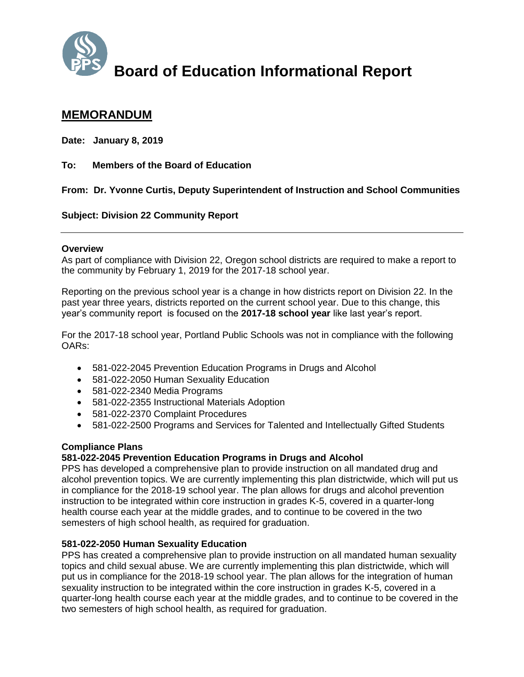

# **Board of Education Informational Report**

## **MEMORANDUM**

**Date: January 8, 2019**

**To: Members of the Board of Education** 

**From: Dr. Yvonne Curtis, Deputy Superintendent of Instruction and School Communities**

**Subject: Division 22 Community Report** 

#### **Overview**

As part of compliance with Division 22, Oregon school districts are required to make a report to the community by February 1, 2019 for the 2017-18 school year.

Reporting on the previous school year is a change in how districts report on Division 22. In the past year three years, districts reported on the current school year. Due to this change, this year's community report is focused on the **2017-18 school year** like last year's report.

For the 2017-18 school year, Portland Public Schools was not in compliance with the following OARs:

- 581-022-2045 Prevention Education Programs in Drugs and Alcohol
- 581-022-2050 Human Sexuality Education
- 581-022-2340 Media Programs
- 581-022-2355 Instructional Materials Adoption
- 581-022-2370 Complaint Procedures
- 581-022-2500 Programs and Services for Talented and Intellectually Gifted Students

#### **Compliance Plans**

#### **581-022-2045 Prevention Education Programs in Drugs and Alcohol**

PPS has developed a comprehensive plan to provide instruction on all mandated drug and alcohol prevention topics. We are currently implementing this plan districtwide, which will put us in compliance for the 2018-19 school year. The plan allows for drugs and alcohol prevention instruction to be integrated within core instruction in grades K-5, covered in a quarter-long health course each year at the middle grades, and to continue to be covered in the two semesters of high school health, as required for graduation.

#### **581-022-2050 Human Sexuality Education**

PPS has created a comprehensive plan to provide instruction on all mandated human sexuality topics and child sexual abuse. We are currently implementing this plan districtwide, which will put us in compliance for the 2018-19 school year. The plan allows for the integration of human sexuality instruction to be integrated within the core instruction in grades K-5, covered in a quarter-long health course each year at the middle grades, and to continue to be covered in the two semesters of high school health, as required for graduation.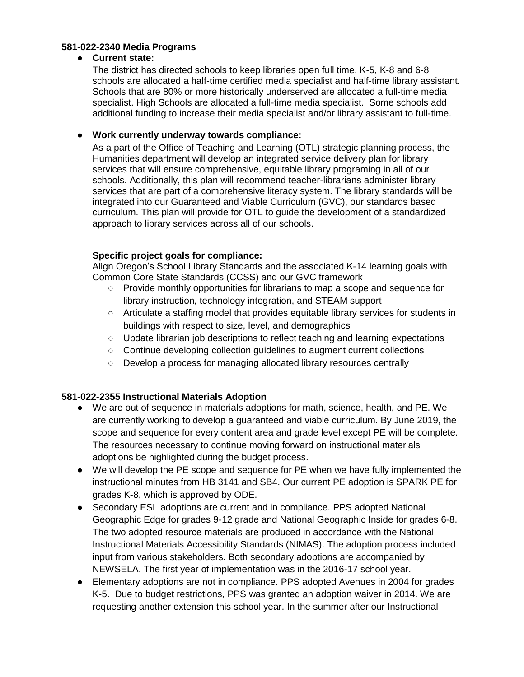#### **581-022-2340 Media Programs**

#### ● **Current state:**

The district has directed schools to keep libraries open full time. K-5, K-8 and 6-8 schools are allocated a half-time certified media specialist and half-time library assistant. Schools that are 80% or more historically underserved are allocated a full-time media specialist. High Schools are allocated a full-time media specialist. Some schools add additional funding to increase their media specialist and/or library assistant to full-time.

#### ● **Work currently underway towards compliance:**

As a part of the Office of Teaching and Learning (OTL) strategic planning process, the Humanities department will develop an integrated service delivery plan for library services that will ensure comprehensive, equitable library programing in all of our schools. Additionally, this plan will recommend teacher-librarians administer library services that are part of a comprehensive literacy system. The library standards will be integrated into our Guaranteed and Viable Curriculum (GVC), our standards based curriculum. This plan will provide for OTL to guide the development of a standardized approach to library services across all of our schools.

### **Specific project goals for compliance:**

Align Oregon's School Library Standards and the associated K-14 learning goals with Common Core State Standards (CCSS) and our GVC framework

- Provide monthly opportunities for librarians to map a scope and sequence for library instruction, technology integration, and STEAM support
- Articulate a staffing model that provides equitable library services for students in buildings with respect to size, level, and demographics
- Update librarian job descriptions to reflect teaching and learning expectations
- Continue developing collection guidelines to augment current collections
- Develop a process for managing allocated library resources centrally

#### **581-022-2355 Instructional Materials Adoption**

- We are out of sequence in materials adoptions for math, science, health, and PE. We are currently working to develop a guaranteed and viable curriculum. By June 2019, the scope and sequence for every content area and grade level except PE will be complete. The resources necessary to continue moving forward on instructional materials adoptions be highlighted during the budget process.
- We will develop the PE scope and sequence for PE when we have fully implemented the instructional minutes from HB 3141 and SB4. Our current PE adoption is SPARK PE for grades K-8, which is approved by ODE.
- Secondary ESL adoptions are current and in compliance. PPS adopted National Geographic Edge for grades 9-12 grade and National Geographic Inside for grades 6-8. The two adopted resource materials are produced in accordance with the National Instructional Materials Accessibility Standards (NIMAS). The adoption process included input from various stakeholders. Both secondary adoptions are accompanied by NEWSELA. The first year of implementation was in the 2016-17 school year.
- Elementary adoptions are not in compliance. PPS adopted Avenues in 2004 for grades K-5. Due to budget restrictions, PPS was granted an adoption waiver in 2014. We are requesting another extension this school year. In the summer after our Instructional